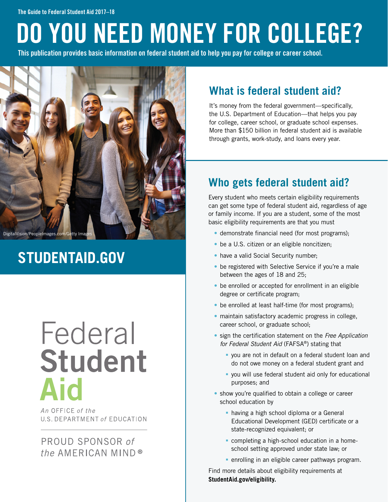# DO YOU NEED MONEY FOR COLLEGE?

This publication provides basic information on federal student aid to help you pay for college or career school.



## **STUDENTAID.GOV**

## Federal **Student Aid**

An OFFICE of the U.S. DEPARTMENT of EDUCATION

### PROUD SPONSOR of the AMERICAN MIND®

### **What is federal student aid?**

It's money from the federal government—specifically, the U.S. Department of Education—that helps you pay for college, career school, or graduate school expenses. More than \$150 billion in federal student aid is available through grants, work-study, and loans every year.

### **Who gets federal student aid?**

Every student who meets certain eligibility requirements can get some type of federal student aid, regardless of age or family income. If you are a student, some of the most basic eligibility requirements are that you must

- demonstrate financial need (for most programs);
- be a U.S. citizen or an eligible noncitizen;
- have a valid Social Security number:
- be registered with Selective Service if you're a male between the ages of 18 and 25;
- be enrolled or accepted for enrollment in an eligible degree or certificate program;
- be enrolled at least half-time (for most programs);
- maintain satisfactory academic progress in college, career school, or graduate school;
- sign the certifcation statement on the *Free Application for Federal Student Aid* (FAFSA®) stating that
	- § you are not in default on a federal student loan and do not owe money on a federal student grant and
	- § you will use federal student aid only for educational purposes; and
- show you're qualified to obtain a college or career school education by
	- having a high school diploma or a General Educational Development (GED) certificate or a state-recognized equivalent; or
	- completing a high-school education in a homeschool setting approved under state law; or
	- enrolling in an eligible career pathways program.

Find more details about eligibility requirements at **StudentAid.gov/eligibility.**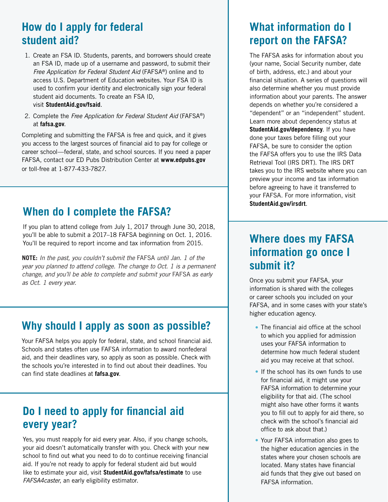### **How do I apply for federal student aid?**

- 1. Create an FSA ID. Students, parents, and borrowers should create an FSA ID, made up of a username and password, to submit their *Free Application for Federal Student Aid* (FAFSA®) online and to access U.S. Department of Education websites. Your FSA ID is used to confrm your identity and electronically sign your federal student aid documents. To create an FSA ID, visit **StudentAid.gov/fsaid**.
- 2. Complete the *Free Application for Federal Student Aid* (FAFSA®) at **fafsa.gov**.

Completing and submitting the FAFSA is free and quick, and it gives you access to the largest sources of fnancial aid to pay for college or career school—federal, state, and school sources. If you need a paper FAFSA, contact our ED Pubs Distribution Center at **www.edpubs.gov** or toll-free at 1-877-433-7827.

### **When do I complete the FAFSA?**

If you plan to attend college from July 1, 2017 through June 30, 2018, you'll be able to submit a 2017–18 FAFSA beginning on Oct. 1, 2016. You'll be required to report income and tax information from 2015.

**NOTE:** In the past, you couldn't submit the FAFSA until Jan. 1 of the year you planned to attend college. The change to Oct. 1 is a permanent change, and you'll be able to complete and submit your FAFSA as early as Oct. 1 every year.

### **Why should I apply as soon as possible?**

Your FAFSA helps you apply for federal, state, and school financial aid. Schools and states often use FAFSA information to award nonfederal aid, and their deadlines vary, so apply as soon as possible. Check with the schools you're interested in to find out about their deadlines. You can find state deadlines at **fafsa.gov.** 

### **Do I need to apply for fnancial aid every year?**

Yes, you must reapply for aid every year. Also, if you change schools, your aid doesn't automatically transfer with you. Check with your new school to find out what you need to do to continue receiving financial aid. If you're not ready to apply for federal student aid but would like to estimate your aid, visit **StudentAid.gov/fafsa/estimate** to use *FAFSA4caster*, an early eligibility estimator.

### **What information do I report on the FAFSA?**

The FAFSA asks for information about you (your name, Social Security number, date of birth, address, etc.) and about your fnancial situation. A series of questions will also determine whether you must provide information about your parents. The answer depends on whether you're considered a "dependent" or an "independent" student. Learn more about dependency status at **StudentAid.gov/dependency**. If you have done your taxes before flling out your FAFSA, be sure to consider the option the FAFSA offers you to use the IRS Data Retrieval Tool (IRS DRT). The IRS DRT takes you to the IRS website where you can preview your income and tax information before agreeing to have it transferred to your FAFSA. For more information, visit **StudentAid.gov/irsdrt**.

### **Where does my FAFSA information go once I submit it?**

Once you submit your FAFSA, your information is shared with the colleges or career schools you included on your FAFSA, and in some cases with your state's higher education agency.

- The financial aid office at the school to which you applied for admission uses your FAFSA information to determine how much federal student aid you may receive at that school.
- If the school has its own funds to use for financial aid, it might use your FAFSA information to determine your eligibility for that aid. (The school might also have other forms it wants you to fill out to apply for aid there, so check with the school's fnancial aid office to ask about that.)
- Your FAFSA information also goes to the higher education agencies in the states where your chosen schools are located. Many states have financial aid funds that they give out based on FAFSA information.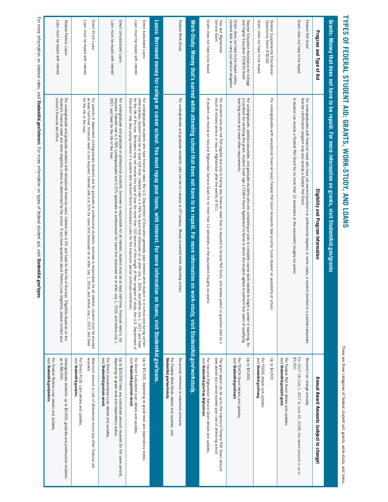# **TYPES OF FEDERAL STUDENT AID: GRANTS, WORK-STUDY, AND LOANS TYPES OF FEDERAL STUDENT AID: GRANTS, WORK-STUDY, AND LOANS**

There are three categories of federal student aid: grants, work-study, and loans. There are three categories of federal student aid: grants, work-study, and loans.

|                                                                                           | Grants: Money that does not have to be repaid. For more information on grants, visit StudentAid.gov/grants                                                                                                                                                                                                                                         |                                                                                                                                   |
|-------------------------------------------------------------------------------------------|----------------------------------------------------------------------------------------------------------------------------------------------------------------------------------------------------------------------------------------------------------------------------------------------------------------------------------------------------|-----------------------------------------------------------------------------------------------------------------------------------|
| Program and Type of Aid                                                                   | Eligibility and Program Information                                                                                                                                                                                                                                                                                                                | Annual Award Amounts (subject to change)                                                                                          |
| Grant: does not have to be repaid<br>Federal Pell Grant                                   | A student can receive a Federal Pell Grant for no more than 12 semesters or the equivalent (roughly six years).<br>teacher certification program may also receive a Federal Pell Grant.<br>For undergraduates with financial need who have not earned bachelor's or professional degrees; in some cases, a student enrolled in a postbaccalaureate | \$5,920.<br>Amounts can change annually.<br>For 2017-18 (July 1, 2017 to June 30, 2018), the award amount is up to                |
|                                                                                           |                                                                                                                                                                                                                                                                                                                                                    | visit StudentAid.gov/pell-grant.<br>For Federal Pell Grant details and updates                                                    |
| Opportunity Grant (FSEOG)<br>Federal Supplemental Educational                             | For undergraduates with exceptional financial need, Federal Pell Grant recipients take priority; funds depend on availability at school                                                                                                                                                                                                            | Up to \$4,000.                                                                                                                    |
| Grant: does not have to be repaid                                                         |                                                                                                                                                                                                                                                                                                                                                    | visit StudentAid.gov/fseog.<br>For FSEOG details and updates,                                                                     |
| and Higher Education (TEACH) Grant<br>Teacher Education Assistance for College            | For undergraduate, postbaccalaureate, and graduate students who are completing or plan to complete course work needed to begin a career in teaching. As<br>a condition for receiving this grant, student must sign a TEACH Grant                                                                                                                   | Up to \$4,000                                                                                                                     |
| student fails to carry out service obligation<br>Grant: does not have to be repaid unless | teaching service and meet other requirements.                                                                                                                                                                                                                                                                                                      | visit StudentAid.gov/teach.<br>For TEACH Grant details and updates,                                                               |
| Service Grant<br>Iraq and Afghanistan                                                     | For students who are not Pell-eligible due only to having less financial need than is required to receive Pell funds, and whose parent or guardian died as a<br>result of military service in Iraq or Afghanistan after the event                                                                                                                  | (see above) but cannot exceed your cost of attending school<br>The grant award can be up to the maximum Federal Pell Grant amount |
| Grant: does not have to be repaid                                                         | A student can receive an Iraq and Afghanistan Service Grant for no more than 12 semesters or the equivalent (roughly six years)                                                                                                                                                                                                                    | visit StudentAid.gov/Iraq-Afghanistan.<br>For Iraq and Afghanistan Service Grant details and updates,                             |
|                                                                                           | Work-Study: Money that's earned while attending school that does not have to be repaid. For more information on work-study, visit StudentAid.gov/workstudy.                                                                                                                                                                                        |                                                                                                                                   |
| Federal Work-Study                                                                        | For undergraduate and graduate students, jobs can be on campus or off campus. Money is earned while attending school.                                                                                                                                                                                                                              | No annual minimum or maximum amounts.                                                                                             |
|                                                                                           |                                                                                                                                                                                                                                                                                                                                                    | StudentAid.gov/workstudy.<br>For Federal Work-Study details and updates, visit                                                    |
|                                                                                           | Loans: Borrowed money for college or career school. You must repay your loans, with interest. For more information on<br>loans, visit StudentAid.gov/loans.                                                                                                                                                                                        |                                                                                                                                   |
| Direct Subsidized Loans                                                                   | other periods; student must be at least half-time. Interest rate is 3.76% for loans first disbursed on or after July 1, 2016, and before July 1, 2017, and fixed<br>For undergraduate students who have financial need; the U.S. Department of Education generally pays interest while student is in school and during certain                     | Up to \$5,500, depending on grade level and dependency status                                                                     |
| Loan: must be repaid with interest                                                        | Education may stop paying interest if a student who received Direct Subsidized Loans for the maximum period continues enrollment.<br>for the life of the loan. Borrowers may not receive this type of loan for more than 150 percent of the length of their program of study; the U.S. Department of                                               | visit StudentAid.gov/sub-unsub.<br>For Direct Subsidized Loan details and updates,                                                |
| Direct Unsubsidized Loans                                                                 | required. Interest rate is 3.76% (undergraduate) and 5.31% (graduate or professional) for loans first disbursed on or after July 1,<br>For undergraduate and graduate or professional students; borrower is responsible for all interest; student must be at least half-tii<br>me; financial need is not<br>2016, and before July 1,               | depending on grade level and dependency status.<br>Up to \$20,500 (less any subsidized amount received for the same period),      |
| Loan: must be repaid with interest                                                        | 2017, and fixed for the life of the loan.                                                                                                                                                                                                                                                                                                          | visit StudentAid.gov/sub-unsub.<br>For Direct Unsubsidized Loan details and updates,                                              |
| Direct PLUS Loans                                                                         | For parents of dependent undergraduate students and for graduate or professional students; borrower is responsible for all interest; student must be enrolled<br>at least half-time; financial need is not required. Interest rat                                                                                                                  | received.<br>Maximum amount is cost of attendance minus any other financial aid                                                   |
| Loan: must be repaid with interest                                                        | for the life of the loan.                                                                                                                                                                                                                                                                                                                          | visit StudentAid.gov/plus.<br>For Direct PLUS Loan details and updates,                                                           |

For more information on interest rates, visit StudentAid,gov/interest. For more information on types of federal student aid, visit StudentAid,gov/types For more information on interest rates, visit **StudentAid.gov/interest**. For more information on types of federal student aid, visit **StudentAid.gov/types**.

Loan: must be repaid with interest

Loan: must be repaid with interest

Federal Perkins Loans

Federal Perkins Loans

For undergraduate and graduate students with exceptional

student's ff f

school's

nancial aid of

fce.

<u>n</u>

nancial need. Interest rate is 5% and

nancial need and other eligibility criteria as determined by the school. If you have questions about Perkins Loan eligibility, please contact your

 $\rightarrow$ 

xed for the life of the loan. Eligibility depends on the

visit

**StudentAid.gov/perkins**

For Federal Perkins Loan details and updates,

up to \$8,000.

Undergraduate students: up to \$5,500; graduate and professional students:

Undergraduate students: up to \$5,500; graduate and professional students:<br>up to \$8,000.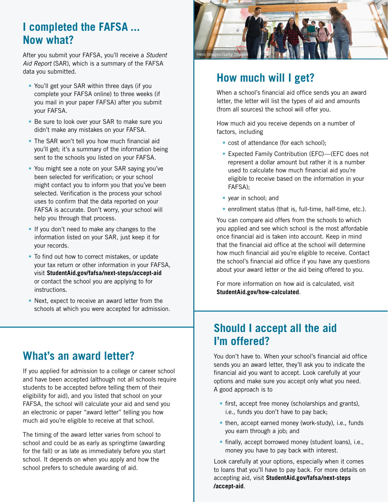### **I completed the FAFSA ... Now what?**

After you submit your FAFSA, you'll receive a *Student Aid Report* (SAR), which is a summary of the FAFSA data you submitted.

- You'll get your SAR within three days (if you complete your FAFSA online) to three weeks (if you mail in your paper FAFSA) after you submit your FAFSA.
- Be sure to look over your SAR to make sure you didn't make any mistakes on your FAFSA.
- The SAR won't tell you how much financial aid you'll get; it's a summary of the information being sent to the schools you listed on your FAFSA.
- You might see a note on your SAR saying you've been selected for verifcation; or your school might contact you to inform you that you've been selected. Verification is the process your school uses to confrm that the data reported on your FAFSA is accurate. Don't worry, your school will help you through that process.
- If you don't need to make any changes to the information listed on your SAR, just keep it for your records.
- $\bullet$  To find out how to correct mistakes, or update your tax return or other information in your FAFSA, visit **StudentAid.gov/fafsa/next-steps/accept-aid** or contact the school you are applying to for instructions.
- Next, expect to receive an award letter from the schools at which you were accepted for admission.

### **What's an award letter?**

If you applied for admission to a college or career school and have been accepted (although not all schools require students to be accepted before telling them of their eligibility for aid), and you listed that school on your FAFSA, the school will calculate your aid and send you an electronic or paper "award letter" telling you how much aid you're eligible to receive at that school.

The timing of the award letter varies from school to school and could be as early as springtime (awarding for the fall) or as late as immediately before you start school. It depends on when you apply and how the school prefers to schedule awarding of aid.



### **How much will I get?**

When a school's financial aid office sends you an award letter, the letter will list the types of aid and amounts (from all sources) the school will offer you.

How much aid you receive depends on a number of factors, including

- cost of attendance (for each school);
- Expected Family Contribution (EFC)—(EFC does not represent a dollar amount but rather it is a number used to calculate how much financial aid you're eligible to receive based on the information in your FAFSA);
- year in school; and
- enrollment status (that is, full-time, half-time, etc.).

You can compare aid offers from the schools to which you applied and see which school is the most affordable once fnancial aid is taken into account. Keep in mind that the financial aid office at the school will determine how much financial aid you're eligible to receive. Contact the school's financial aid office if you have any questions about your award letter or the aid being offered to you.

For more information on how aid is calculated, visit **StudentAid.gov/how-calculated**.

### **Should I accept all the aid I'm offered?**

You don't have to. When your school's financial aid office sends you an award letter, they'll ask you to indicate the fnancial aid you want to accept. Look carefully at your options and make sure you accept only what you need. A good approach is to

- first, accept free money (scholarships and grants), i.e., funds you don't have to pay back;
- then, accept earned money (work-study), i.e., funds you earn through a job; and
- finally, accept borrowed money (student loans), i.e., money you have to pay back with interest.

Look carefully at your options, especially when it comes to loans that you'll have to pay back. For more details on accepting aid, visit **StudentAid.gov/fafsa/next-steps /accept-aid**.